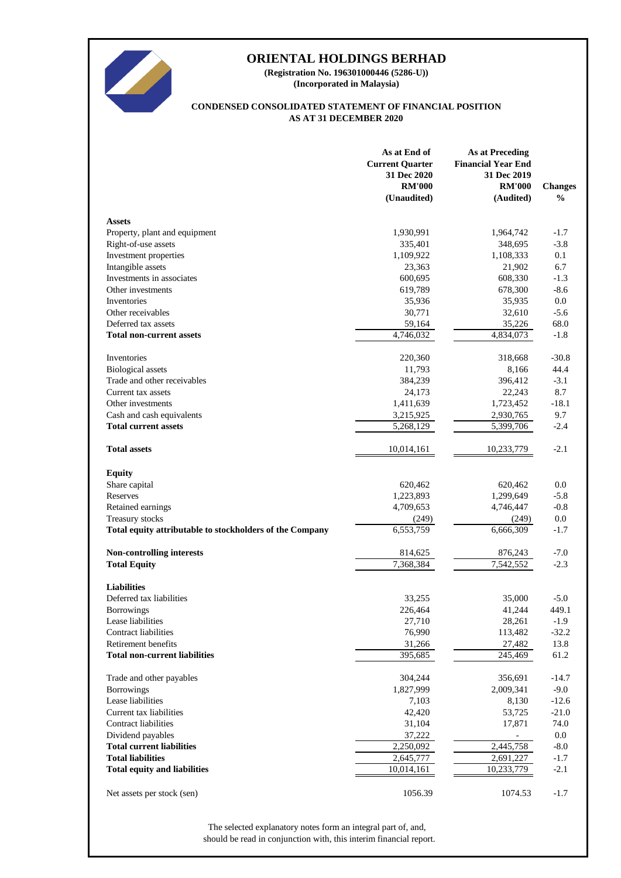

**(Incorporated in Malaysia) (Registration No. 196301000446 (5286-U))**

### **AS AT 31 DECEMBER 2020 CONDENSED CONSOLIDATED STATEMENT OF FINANCIAL POSITION**

|                                                             | As at End of<br><b>Current Quarter</b><br>31 Dec 2020<br><b>RM'000</b><br>(Unaudited) | <b>As at Preceding</b><br><b>Financial Year End</b><br>31 Dec 2019<br><b>RM'000</b><br>(Audited) | <b>Changes</b><br>$\frac{0}{0}$ |
|-------------------------------------------------------------|---------------------------------------------------------------------------------------|--------------------------------------------------------------------------------------------------|---------------------------------|
| <b>Assets</b>                                               |                                                                                       |                                                                                                  |                                 |
| Property, plant and equipment                               | 1,930,991                                                                             | 1,964,742                                                                                        | $-1.7$                          |
| Right-of-use assets                                         | 335,401                                                                               | 348,695                                                                                          | $-3.8$                          |
| Investment properties                                       | 1,109,922                                                                             | 1,108,333                                                                                        | 0.1                             |
| Intangible assets                                           | 23,363                                                                                | 21,902                                                                                           | 6.7                             |
| Investments in associates                                   | 600,695                                                                               | 608,330                                                                                          | $-1.3$                          |
| Other investments                                           | 619,789                                                                               | 678,300                                                                                          | $-8.6$                          |
| Inventories                                                 | 35,936                                                                                | 35,935                                                                                           | 0.0                             |
| Other receivables                                           | 30,771                                                                                | 32,610                                                                                           | $-5.6$                          |
| Deferred tax assets                                         | 59,164                                                                                | 35,226                                                                                           | 68.0                            |
| <b>Total non-current assets</b>                             | 4,746,032                                                                             | 4,834,073                                                                                        | $-1.8$                          |
| Inventories                                                 | 220,360                                                                               | 318,668                                                                                          | $-30.8$                         |
| <b>Biological</b> assets                                    | 11,793                                                                                | 8,166                                                                                            | 44.4                            |
| Trade and other receivables                                 | 384,239                                                                               | 396,412                                                                                          | $-3.1$                          |
| Current tax assets                                          | 24,173                                                                                | 22,243                                                                                           | 8.7                             |
| Other investments                                           | 1,411,639                                                                             | 1,723,452                                                                                        | $-18.1$                         |
| Cash and cash equivalents                                   | 3,215,925                                                                             | 2,930,765                                                                                        | 9.7                             |
| <b>Total current assets</b>                                 | 5,268,129                                                                             | 5,399,706                                                                                        | $-2.4$                          |
| <b>Total assets</b>                                         | 10,014,161                                                                            | 10,233,779                                                                                       | $-2.1$                          |
| <b>Equity</b>                                               |                                                                                       |                                                                                                  |                                 |
| Share capital                                               | 620,462                                                                               | 620,462                                                                                          | 0.0                             |
| Reserves                                                    | 1,223,893                                                                             | 1,299,649                                                                                        | $-5.8$                          |
| Retained earnings                                           | 4,709,653                                                                             | 4,746,447                                                                                        | $-0.8$                          |
| Treasury stocks                                             | (249)                                                                                 | (249)                                                                                            | 0.0                             |
| Total equity attributable to stockholders of the Company    | 6,553,759                                                                             | 6,666,309                                                                                        | $-1.7$                          |
| <b>Non-controlling interests</b>                            |                                                                                       |                                                                                                  | $-7.0$                          |
| <b>Total Equity</b>                                         | 814,625<br>7,368,384                                                                  | 876,243<br>7,542,552                                                                             | $-2.3$                          |
|                                                             |                                                                                       |                                                                                                  |                                 |
| <b>Liabilities</b>                                          |                                                                                       |                                                                                                  |                                 |
| Deferred tax liabilities                                    | 33,255                                                                                | 35,000                                                                                           | $-5.0$                          |
| <b>Borrowings</b>                                           | 226,464                                                                               | 41,244                                                                                           | 449.1                           |
| Lease liabilities                                           | 27,710                                                                                | 28,261                                                                                           | $-1.9$                          |
| <b>Contract liabilities</b>                                 | 76,990                                                                                | 113,482                                                                                          | $-32.2$                         |
| Retirement benefits<br><b>Total non-current liabilities</b> | 31,266                                                                                | 27,482                                                                                           | 13.8                            |
|                                                             | 395,685                                                                               | $\overline{245,469}$                                                                             | 61.2                            |
| Trade and other payables                                    | 304,244                                                                               | 356,691                                                                                          | $-14.7$                         |
| <b>Borrowings</b>                                           | 1,827,999                                                                             | 2,009,341                                                                                        | $-9.0$                          |
| Lease liabilities                                           | 7,103                                                                                 | 8,130                                                                                            | $-12.6$                         |
| Current tax liabilities                                     | 42,420                                                                                | 53,725                                                                                           | $-21.0$                         |
| <b>Contract liabilities</b>                                 | 31,104                                                                                | 17,871                                                                                           | 74.0                            |
| Dividend payables                                           | 37,222                                                                                |                                                                                                  | 0.0                             |
| <b>Total current liabilities</b>                            | 2,250,092                                                                             | 2,445,758                                                                                        | $-8.0$                          |
| <b>Total liabilities</b>                                    | 2,645,777                                                                             | 2,691,227                                                                                        | $-1.7$                          |
| <b>Total equity and liabilities</b>                         | 10,014,161                                                                            | 10,233,779                                                                                       | $-2.1$                          |
| Net assets per stock (sen)                                  | 1056.39                                                                               | 1074.53                                                                                          | $-1.7$                          |

should be read in conjunction with, this interim financial report. The selected explanatory notes form an integral part of, and,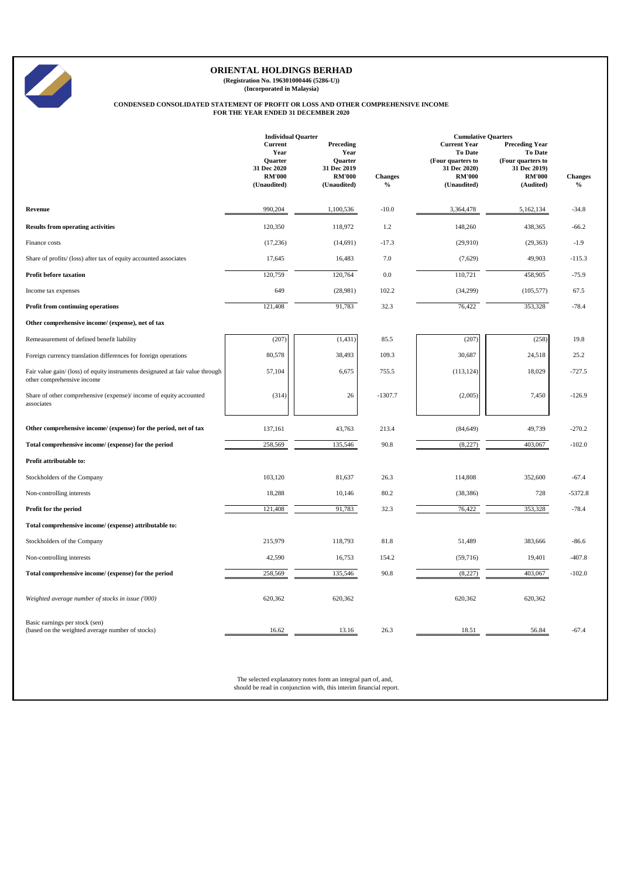

**(Registration No. 196301000446 (5286-U)) (Incorporated in Malaysia)**

# **CONDENSED CONSOLIDATED STATEMENT OF PROFIT OR LOSS AND OTHER COMPREHENSIVE INCOME FOR THE YEAR ENDED 31 DECEMBER 2020**

|                                                                                                              | <b>Individual Quarter</b>                                                        |                                                                                    |                                 | <b>Cumulative Quarters</b>                                                                                 |                                                                                                            |                        |  |
|--------------------------------------------------------------------------------------------------------------|----------------------------------------------------------------------------------|------------------------------------------------------------------------------------|---------------------------------|------------------------------------------------------------------------------------------------------------|------------------------------------------------------------------------------------------------------------|------------------------|--|
|                                                                                                              | Current<br>Year<br><b>Ouarter</b><br>31 Dec 2020<br><b>RM'000</b><br>(Unaudited) | Preceding<br>Year<br><b>Ouarter</b><br>31 Dec 2019<br><b>RM'000</b><br>(Unaudited) | <b>Changes</b><br>$\frac{0}{0}$ | <b>Current Year</b><br><b>To Date</b><br>(Four quarters to<br>31 Dec 2020)<br><b>RM'000</b><br>(Unaudited) | <b>Preceding Year</b><br><b>To Date</b><br>(Four quarters to<br>31 Dec 2019)<br><b>RM'000</b><br>(Audited) | <b>Changes</b><br>$\%$ |  |
| Revenue                                                                                                      | 990,204                                                                          | 1,100,536                                                                          | $-10.0$                         | 3,364,478                                                                                                  | 5,162,134                                                                                                  | $-34.8$                |  |
| <b>Results from operating activities</b>                                                                     | 120,350                                                                          | 118,972                                                                            | 1.2                             | 148,260                                                                                                    | 438,365                                                                                                    | $-66.2$                |  |
| Finance costs                                                                                                | (17, 236)                                                                        | (14, 691)                                                                          | $-17.3$                         | (29,910)                                                                                                   | (29, 363)                                                                                                  | $-1.9$                 |  |
| Share of profits/ (loss) after tax of equity accounted associates                                            | 17,645                                                                           | 16,483                                                                             | 7.0                             | (7,629)                                                                                                    | 49,903                                                                                                     | $-115.3$               |  |
| <b>Profit before taxation</b>                                                                                | 120,759                                                                          | 120,764                                                                            | 0.0                             | 110,721                                                                                                    | 458,905                                                                                                    | $-75.9$                |  |
| Income tax expenses                                                                                          | 649                                                                              | (28,981)                                                                           | 102.2                           | (34,299)                                                                                                   | (105, 577)                                                                                                 | 67.5                   |  |
| <b>Profit from continuing operations</b>                                                                     | 121,408                                                                          | 91,783                                                                             | 32.3                            | 76,422                                                                                                     | 353,328                                                                                                    | $-78.4$                |  |
| Other comprehensive income/ (expense), net of tax                                                            |                                                                                  |                                                                                    |                                 |                                                                                                            |                                                                                                            |                        |  |
| Remeasurement of defined benefit liability                                                                   | (207)                                                                            | (1, 431)                                                                           | 85.5                            | (207)                                                                                                      | (258)                                                                                                      | 19.8                   |  |
| Foreign currency translation differences for foreign operations                                              | 80,578                                                                           | 38,493                                                                             | 109.3                           | 30,687                                                                                                     | 24,518                                                                                                     | 25.2                   |  |
| Fair value gain/ (loss) of equity instruments designated at fair value through<br>other comprehensive income | 57,104                                                                           | 6,675                                                                              | 755.5                           | (113, 124)                                                                                                 | 18,029                                                                                                     | -727.5                 |  |
| Share of other comprehensive (expense)/ income of equity accounted<br>associates                             | (314)                                                                            | 26                                                                                 | $-1307.7$                       | (2,005)                                                                                                    | 7,450                                                                                                      | $-126.9$               |  |
| Other comprehensive income/ (expense) for the period, net of tax                                             | 137,161                                                                          | 43,763                                                                             | 213.4                           | (84, 649)                                                                                                  | 49,739                                                                                                     | $-270.2$               |  |
| Total comprehensive income/ (expense) for the period                                                         | 258,569                                                                          | 135,546                                                                            | 90.8                            | (8,227)                                                                                                    | 403,067                                                                                                    | $-102.0$               |  |
| Profit attributable to:                                                                                      |                                                                                  |                                                                                    |                                 |                                                                                                            |                                                                                                            |                        |  |
| Stockholders of the Company                                                                                  | 103,120                                                                          | 81,637                                                                             | 26.3                            | 114,808                                                                                                    | 352,600                                                                                                    | $-67.4$                |  |
| Non-controlling interests                                                                                    | 18,288                                                                           | 10,146                                                                             | 80.2                            | (38, 386)                                                                                                  | 728                                                                                                        | $-5372.8$              |  |
| Profit for the period                                                                                        | 121,408                                                                          | 91,783                                                                             | 32.3                            | 76,422                                                                                                     | 353,328                                                                                                    | $-78.4$                |  |
| Total comprehensive income/ (expense) attributable to:                                                       |                                                                                  |                                                                                    |                                 |                                                                                                            |                                                                                                            |                        |  |
| Stockholders of the Company                                                                                  | 215,979                                                                          | 118,793                                                                            | 81.8                            | 51,489                                                                                                     | 383,666                                                                                                    | $-86.6$                |  |
| Non-controlling interests                                                                                    | 42,590                                                                           | 16,753                                                                             | 154.2                           | (59,716)                                                                                                   | 19,401                                                                                                     | $-407.8$               |  |
| Total comprehensive income/ (expense) for the period                                                         | 258,569                                                                          | 135,546                                                                            | 90.8                            | (8,227)                                                                                                    | 403,067                                                                                                    | $-102.0$               |  |
| Weighted average number of stocks in issue ('000)                                                            | 620,362                                                                          | 620,362                                                                            |                                 | 620,362                                                                                                    | 620,362                                                                                                    |                        |  |
| Basic earnings per stock (sen)<br>(based on the weighted average number of stocks)                           | 16.62                                                                            | 13.16                                                                              | 26.3                            | 18.51                                                                                                      | 56.84                                                                                                      | $-67.4$                |  |

The selected explanatory notes form an integral part of, and, should be read in conjunction with, this interim financial report.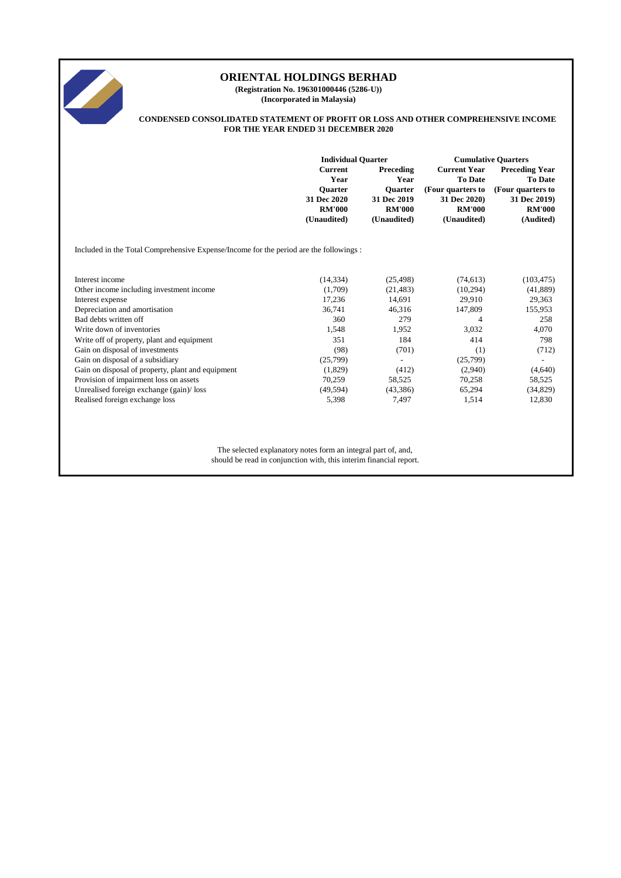

**(Registration No. 196301000446 (5286-U)) (Incorporated in Malaysia)**

#### **CONDENSED CONSOLIDATED STATEMENT OF PROFIT OR LOSS AND OTHER COMPREHENSIVE INCOME FOR THE YEAR ENDED 31 DECEMBER 2020**

|                                                                                        | <b>Individual Quarter</b>                                                               |                                                                                    | <b>Cumulative Quarters</b>                                                                          |                                                                                                            |  |
|----------------------------------------------------------------------------------------|-----------------------------------------------------------------------------------------|------------------------------------------------------------------------------------|-----------------------------------------------------------------------------------------------------|------------------------------------------------------------------------------------------------------------|--|
|                                                                                        | <b>Current</b><br>Year<br><b>Ouarter</b><br>31 Dec 2020<br><b>RM'000</b><br>(Unaudited) | Preceding<br>Year<br><b>Ouarter</b><br>31 Dec 2019<br><b>RM'000</b><br>(Unaudited) | <b>Current Year</b><br>To Date<br>(Four quarters to<br>31 Dec 2020)<br><b>RM'000</b><br>(Unaudited) | <b>Preceding Year</b><br><b>To Date</b><br>(Four quarters to<br>31 Dec 2019)<br><b>RM'000</b><br>(Audited) |  |
| Included in the Total Comprehensive Expense/Income for the period are the followings : |                                                                                         |                                                                                    |                                                                                                     |                                                                                                            |  |
| Interest income                                                                        | (14, 334)                                                                               | (25, 498)                                                                          | (74, 613)                                                                                           | (103, 475)                                                                                                 |  |
| Other income including investment income                                               | (1,709)                                                                                 | (21, 483)                                                                          | (10, 294)                                                                                           | (41, 889)                                                                                                  |  |
| Interest expense                                                                       | 17,236                                                                                  | 14,691                                                                             | 29,910                                                                                              | 29,363                                                                                                     |  |
| Depreciation and amortisation                                                          | 36,741                                                                                  | 46,316                                                                             | 147,809                                                                                             | 155,953                                                                                                    |  |
| Bad debts written off                                                                  | 360                                                                                     | 279                                                                                | 4                                                                                                   | 258                                                                                                        |  |
| Write down of inventories                                                              | 1,548                                                                                   | 1,952                                                                              | 3,032                                                                                               | 4,070                                                                                                      |  |
| Write off of property, plant and equipment                                             | 351                                                                                     | 184                                                                                | 414                                                                                                 | 798                                                                                                        |  |
| Gain on disposal of investments                                                        | (98)                                                                                    | (701)                                                                              | (1)                                                                                                 | (712)                                                                                                      |  |
| Gain on disposal of a subsidiary                                                       | (25,799)                                                                                | $\overline{a}$                                                                     | (25,799)                                                                                            | $\overline{\phantom{a}}$                                                                                   |  |
| Gain on disposal of property, plant and equipment                                      | (1,829)                                                                                 | (412)                                                                              | (2,940)                                                                                             | (4,640)                                                                                                    |  |
| Provision of impairment loss on assets                                                 | 70,259                                                                                  | 58,525                                                                             | 70,258                                                                                              | 58,525                                                                                                     |  |
| Unrealised foreign exchange (gain)/loss                                                | (49, 594)                                                                               | (43,386)                                                                           | 65,294                                                                                              | (34, 829)                                                                                                  |  |
| Realised foreign exchange loss                                                         | 5,398                                                                                   | 7,497                                                                              | 1,514                                                                                               | 12,830                                                                                                     |  |

The selected explanatory notes form an integral part of, and, should be read in conjunction with, this interim financial report.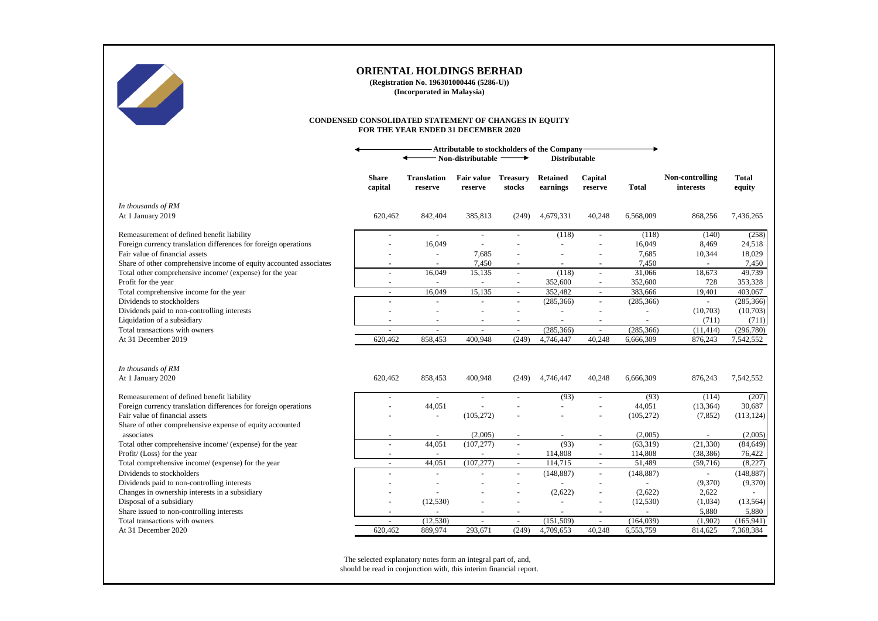

**(Registration No. 196301000446 (5286-U)) (Incorporated in Malaysia)**

#### **CONDENSED CONSOLIDATED STATEMENT OF CHANGES IN EQUITY FOR THE YEAR ENDED 31 DECEMBER 2020**

|                                                                                         | Attributable to stockholders of the Company<br>Non-distributable<br>→<br><b>Distributable</b> |                               |                       |                           |                             |                          |                      |                              |                     |
|-----------------------------------------------------------------------------------------|-----------------------------------------------------------------------------------------------|-------------------------------|-----------------------|---------------------------|-----------------------------|--------------------------|----------------------|------------------------------|---------------------|
|                                                                                         | <b>Share</b><br>capital                                                                       | <b>Translation</b><br>reserve | Fair value<br>reserve | <b>Treasury</b><br>stocks | <b>Retained</b><br>earnings | Capital<br>reserve       | Total                | Non-controlling<br>interests | Total<br>equity     |
| In thousands of RM<br>At 1 January 2019                                                 | 620,462                                                                                       | 842,404                       | 385,813               | (249)                     | 4,679,331                   | 40,248                   | 6,568,009            | 868,256                      | 7,436,265           |
| Remeasurement of defined benefit liability                                              |                                                                                               | $\sim$                        | $\sim$                |                           | (118)                       |                          | (118)                | (140)                        | (258)               |
| Foreign currency translation differences for foreign operations                         |                                                                                               | 16,049                        | $\sim$                |                           |                             |                          | 16,049               | 8,469                        | 24,518              |
| Fair value of financial assets                                                          |                                                                                               |                               | 7,685                 |                           |                             |                          | 7,685                | 10,344                       | 18,029              |
| Share of other comprehensive income of equity accounted associates                      | $\sim$                                                                                        | $\overline{\phantom{a}}$      | 7,450                 | $\overline{\phantom{a}}$  |                             |                          | 7,450                | $\overline{a}$               | 7,450               |
| Total other comprehensive income/ (expense) for the year                                | $\sim$                                                                                        | 16,049                        | 15,135                | $\sim$                    | (118)                       | $\sim$                   | 31,066               | 18,673                       | 49,739              |
| Profit for the year                                                                     | $\overline{\phantom{a}}$                                                                      | $\sim$                        | $\blacksquare$        | $\overline{\phantom{a}}$  | 352,600                     | $\sim$                   | 352,600              | 728                          | 353,328             |
| Total comprehensive income for the year                                                 | $\sim$                                                                                        | 16,049                        | 15,135                | $\overline{\phantom{a}}$  | 352,482                     | $\sim$                   | 383,666              | 19,401                       | 403,067             |
| Dividends to stockholders                                                               | $\sim$                                                                                        |                               | $\sim$                | $\blacksquare$            | (285, 366)                  | $\sim$                   | (285, 366)           | $\sim$                       | (285, 366)          |
| Dividends paid to non-controlling interests                                             |                                                                                               |                               |                       | $\sim$                    |                             |                          | $\overline{a}$       | (10,703)                     | (10,703)            |
| Liquidation of a subsidiary                                                             |                                                                                               |                               |                       | $\sim$                    | $\sim$                      |                          |                      | (711)                        | (711)               |
| Total transactions with owners                                                          | $\blacksquare$                                                                                | $\sim$                        | $\blacksquare$        | $\sim$                    | (285, 366)                  | $\sim$                   | (285, 366)           | (11, 414)                    | (296, 780)          |
| At 31 December 2019                                                                     | 620,462                                                                                       | 858,453                       | 400.948               | (249)                     | 4,746,447                   | 40.248                   | 6,666,309            | 876,243                      | 7,542,552           |
|                                                                                         |                                                                                               |                               |                       |                           |                             |                          |                      |                              |                     |
| In thousands of RM<br>At 1 January 2020                                                 | 620,462                                                                                       | 858,453                       | 400,948               | (249)                     | 4,746,447                   | 40,248                   | 6,666,309            | 876,243                      | 7,542,552           |
| Remeasurement of defined benefit liability                                              | $\overline{\phantom{a}}$                                                                      |                               | $\overline{a}$        |                           | (93)                        | $\sim$                   | (93)                 | (114)                        | (207)               |
| Foreign currency translation differences for foreign operations                         |                                                                                               | 44,051                        |                       |                           |                             | $\sim$                   | 44,051               | (13, 364)                    | 30,687              |
| Fair value of financial assets                                                          |                                                                                               |                               | (105, 272)            |                           |                             |                          | (105, 272)           | (7, 852)                     | (113, 124)          |
| Share of other comprehensive expense of equity accounted                                |                                                                                               |                               |                       |                           |                             |                          |                      |                              |                     |
| associates                                                                              |                                                                                               | 44,051                        | (2,005)               | $\sim$                    | (93)                        | $\overline{a}$           | (2,005)<br>(63, 319) | (21, 330)                    | (2,005)             |
| Total other comprehensive income/ (expense) for the year<br>Profit/ (Loss) for the year | $\overline{a}$                                                                                |                               | (107, 277)            |                           | 114,808                     |                          | 114,808              | (38, 386)                    | (84, 649)<br>76,422 |
| Total comprehensive income/ (expense) for the year                                      | $\sim$                                                                                        | 44,051                        | (107, 277)            | $\sim$                    | 114,715                     | $\sim$                   | 51,489               | (59,716)                     | (8,227)             |
| Dividends to stockholders                                                               |                                                                                               |                               |                       | $\sim$                    | (148, 887)                  | $\sim$                   | (148, 887)           | $\sim$                       | (148, 887)          |
| Dividends paid to non-controlling interests                                             |                                                                                               |                               |                       |                           |                             |                          |                      | (9,370)                      | (9,370)             |
| Changes in ownership interests in a subsidiary                                          |                                                                                               |                               |                       |                           | (2,622)                     |                          | (2,622)              | 2,622                        |                     |
| Disposal of a subsidiary                                                                |                                                                                               | (12, 530)                     |                       | $\overline{\phantom{a}}$  |                             |                          | (12, 530)            | (1,034)                      | (13, 564)           |
| Share issued to non-controlling interests                                               |                                                                                               |                               |                       | $\sim$                    | $\sim$                      | $\overline{\phantom{a}}$ | $\overline{a}$       | 5,880                        | 5,880               |
| Total transactions with owners                                                          | $\overline{\phantom{a}}$                                                                      | (12, 530)                     | $\blacksquare$        | $\overline{\phantom{a}}$  | (151, 509)                  | $\overline{\phantom{a}}$ | (164, 039)           | (1,902)                      | (165, 941)          |
| At 31 December 2020                                                                     | 620,462                                                                                       | 889,974                       | 293.671               | (249)                     | 4,709,653                   | 40.248                   | 6,553,759            | 814,625                      | 7,368,384           |
|                                                                                         |                                                                                               |                               |                       |                           |                             |                          |                      |                              |                     |

The selected explanatory notes form an integral part of, and, should be read in conjunction with, this interim financial report.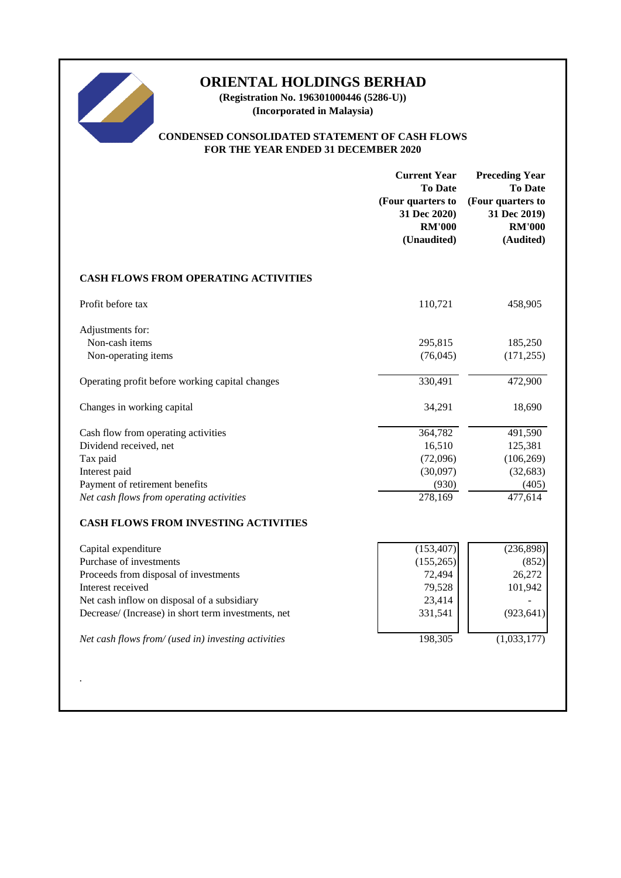

**(Registration No. 196301000446 (5286-U)) (Incorporated in Malaysia)**

# **CONDENSED CONSOLIDATED STATEMENT OF CASH FLOWS FOR THE YEAR ENDED 31 DECEMBER 2020**

|                                                     | <b>Current Year</b><br><b>To Date</b><br>(Four quarters to<br>31 Dec 2020)<br><b>RM'000</b><br>(Unaudited) | <b>Preceding Year</b><br><b>To Date</b><br>(Four quarters to<br>31 Dec 2019)<br><b>RM'000</b><br>(Audited) |
|-----------------------------------------------------|------------------------------------------------------------------------------------------------------------|------------------------------------------------------------------------------------------------------------|
| <b>CASH FLOWS FROM OPERATING ACTIVITIES</b>         |                                                                                                            |                                                                                                            |
| Profit before tax                                   | 110,721                                                                                                    | 458,905                                                                                                    |
| Adjustments for:                                    |                                                                                                            |                                                                                                            |
| Non-cash items                                      | 295,815                                                                                                    | 185,250                                                                                                    |
| Non-operating items                                 | (76, 045)                                                                                                  | (171, 255)                                                                                                 |
| Operating profit before working capital changes     | 330,491                                                                                                    | 472,900                                                                                                    |
| Changes in working capital                          | 34,291                                                                                                     | 18,690                                                                                                     |
| Cash flow from operating activities                 | 364,782                                                                                                    | 491,590                                                                                                    |
| Dividend received, net                              | 16,510                                                                                                     | 125,381                                                                                                    |
| Tax paid                                            | (72,096)                                                                                                   | (106, 269)                                                                                                 |
| Interest paid                                       | (30,097)                                                                                                   | (32, 683)                                                                                                  |
| Payment of retirement benefits                      | (930)                                                                                                      | (405)                                                                                                      |
| Net cash flows from operating activities            | 278,169                                                                                                    | 477,614                                                                                                    |
| <b>CASH FLOWS FROM INVESTING ACTIVITIES</b>         |                                                                                                            |                                                                                                            |
| Capital expenditure                                 | (153, 407)                                                                                                 | (236, 898)                                                                                                 |
| Purchase of investments                             | (155, 265)                                                                                                 | (852)                                                                                                      |
| Proceeds from disposal of investments               | 72,494                                                                                                     | 26,272                                                                                                     |
| Interest received                                   | 79,528                                                                                                     | 101,942                                                                                                    |
| Net cash inflow on disposal of a subsidiary         | 23,414                                                                                                     |                                                                                                            |
| Decrease/ (Increase) in short term investments, net | 331,541                                                                                                    | (923, 641)                                                                                                 |
| Net cash flows from/ (used in) investing activities | 198,305                                                                                                    | (1,033,177)                                                                                                |
|                                                     |                                                                                                            |                                                                                                            |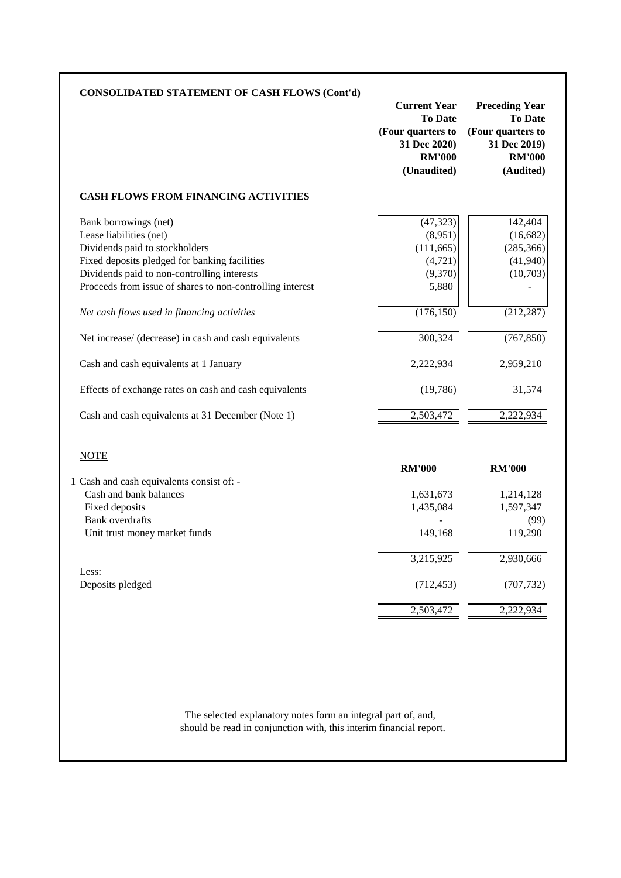| <b>CONSOLIDATED STATEMENT OF CASH FLOWS (Cont'd)</b>                                                                                                                                                                                                                                           | <b>Current Year</b><br><b>To Date</b><br>(Four quarters to<br>31 Dec 2020)<br><b>RM'000</b><br>(Unaudited) | <b>Preceding Year</b><br><b>To Date</b><br>(Four quarters to<br>31 Dec 2019)<br><b>RM'000</b><br>(Audited) |
|------------------------------------------------------------------------------------------------------------------------------------------------------------------------------------------------------------------------------------------------------------------------------------------------|------------------------------------------------------------------------------------------------------------|------------------------------------------------------------------------------------------------------------|
| <b>CASH FLOWS FROM FINANCING ACTIVITIES</b>                                                                                                                                                                                                                                                    |                                                                                                            |                                                                                                            |
| Bank borrowings (net)<br>Lease liabilities (net)<br>Dividends paid to stockholders<br>Fixed deposits pledged for banking facilities<br>Dividends paid to non-controlling interests<br>Proceeds from issue of shares to non-controlling interest<br>Net cash flows used in financing activities | (47, 323)<br>(8,951)<br>(111, 665)<br>(4, 721)<br>(9,370)<br>5,880<br>(176, 150)                           | 142,404<br>(16, 682)<br>(285, 366)<br>(41,940)<br>(10,703)<br>(212, 287)                                   |
| Net increase/ (decrease) in cash and cash equivalents                                                                                                                                                                                                                                          | 300,324                                                                                                    | (767, 850)                                                                                                 |
| Cash and cash equivalents at 1 January                                                                                                                                                                                                                                                         | 2,222,934                                                                                                  | 2,959,210                                                                                                  |
| Effects of exchange rates on cash and cash equivalents                                                                                                                                                                                                                                         | (19,786)                                                                                                   | 31,574                                                                                                     |
| Cash and cash equivalents at 31 December (Note 1)                                                                                                                                                                                                                                              | 2,503,472                                                                                                  | 2,222,934                                                                                                  |
| <b>NOTE</b><br>1 Cash and cash equivalents consist of: -                                                                                                                                                                                                                                       | <b>RM'000</b>                                                                                              | <b>RM'000</b>                                                                                              |
| Cash and bank balances                                                                                                                                                                                                                                                                         | 1,631,673                                                                                                  | 1,214,128                                                                                                  |
| Fixed deposits                                                                                                                                                                                                                                                                                 | 1,435,084                                                                                                  | 1,597,347                                                                                                  |
| <b>Bank</b> overdrafts<br>Unit trust money market funds                                                                                                                                                                                                                                        | 149,168                                                                                                    | (99)<br>119,290                                                                                            |
|                                                                                                                                                                                                                                                                                                | 3,215,925                                                                                                  | 2,930,666                                                                                                  |
| Less:                                                                                                                                                                                                                                                                                          | (712, 453)                                                                                                 | (707, 732)                                                                                                 |
| Deposits pledged                                                                                                                                                                                                                                                                               |                                                                                                            |                                                                                                            |

should be read in conjunction with, this interim financial report. The selected explanatory notes form an integral part of, and,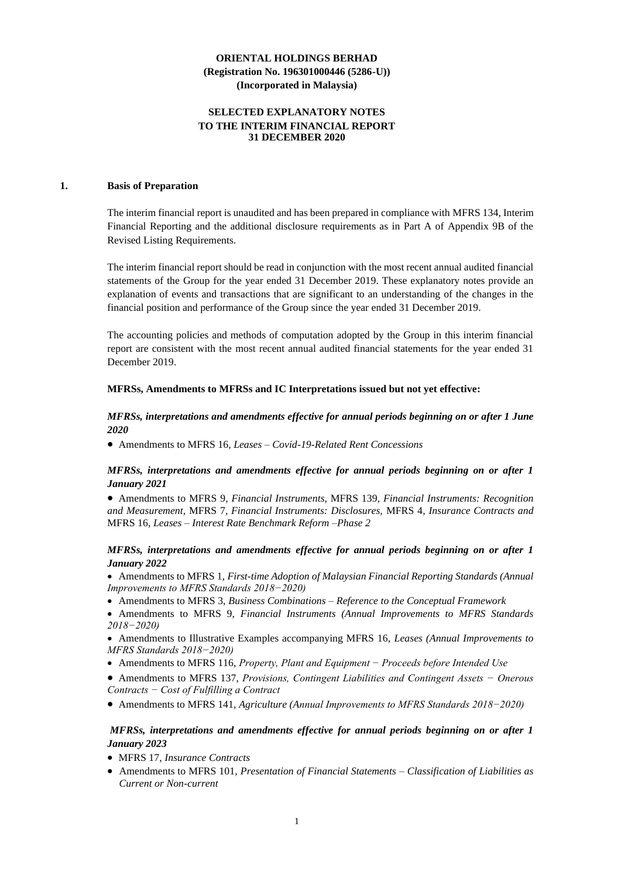### **SELECTED EXPLANATORY NOTES TO THE INTERIM FINANCIAL REPORT 31 DECEMBER 2020**

### **1. Basis of Preparation**

The interim financial report is unaudited and has been prepared in compliance with MFRS 134, Interim Financial Reporting and the additional disclosure requirements as in Part A of Appendix 9B of the Revised Listing Requirements.

The interim financial report should be read in conjunction with the most recent annual audited financial statements of the Group for the year ended 31 December 2019. These explanatory notes provide an explanation of events and transactions that are significant to an understanding of the changes in the financial position and performance of the Group since the year ended 31 December 2019.

The accounting policies and methods of computation adopted by the Group in this interim financial report are consistent with the most recent annual audited financial statements for the year ended 31 December 2019.

### **MFRSs, Amendments to MFRSs and IC Interpretations issued but not yet effective:**

# *MFRSs, interpretations and amendments effective for annual periods beginning on or after 1 June 2020*

• Amendments to MFRS 16*, Leases – Covid-19-Related Rent Concessions*

# *MFRSs, interpretations and amendments effective for annual periods beginning on or after 1 January 2021*

• Amendments to MFRS 9*, Financial Instruments,* MFRS 139*, Financial Instruments: Recognition and Measurement,* MFRS 7*, Financial Instruments: Disclosures,* MFRS 4*, Insurance Contracts and*  MFRS 16*, Leases – Interest Rate Benchmark Reform –Phase 2*

### *MFRSs, interpretations and amendments effective for annual periods beginning on or after 1 January 2022*

• Amendments to MFRS 1, *First-time Adoption of Malaysian Financial Reporting Standards (Annual Improvements to MFRS Standards 2018−2020)*

- Amendments to MFRS 3, *Business Combinations – Reference to the Conceptual Framework*
- Amendments to MFRS 9, *Financial Instruments (Annual Improvements to MFRS Standards 2018−2020)*

• Amendments to Illustrative Examples accompanying MFRS 16, *Leases (Annual Improvements to MFRS Standards 2018−2020)*

- Amendments to MFRS 116, *Property, Plant and Equipment − Proceeds before Intended Use*
- Amendments to MFRS 137, *Provisions, Contingent Liabilities and Contingent Assets − Onerous Contracts − Cost of Fulfilling a Contract*
- Amendments to MFRS 141, *Agriculture (Annual Improvements to MFRS Standards 2018−2020)*

# *MFRSs, interpretations and amendments effective for annual periods beginning on or after 1 January 2023*

- MFRS 17, *Insurance Contracts*
- Amendments to MFRS 101, *Presentation of Financial Statements – Classification of Liabilities as Current or Non-current*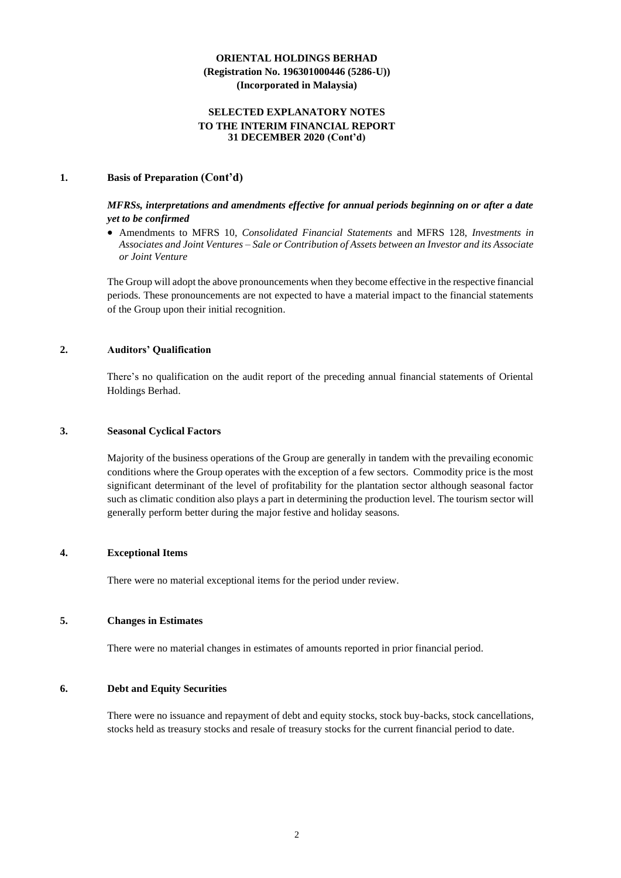### **SELECTED EXPLANATORY NOTES TO THE INTERIM FINANCIAL REPORT 31 DECEMBER 2020 (Cont'd)**

### **1. Basis of Preparation (Cont'd)**

### *MFRSs, interpretations and amendments effective for annual periods beginning on or after a date yet to be confirmed*

• Amendments to MFRS 10, *Consolidated Financial Statements* and MFRS 128, *Investments in Associates and Joint Ventures – Sale or Contribution of Assets between an Investor and its Associate or Joint Venture*

The Group will adopt the above pronouncements when they become effective in the respective financial periods. These pronouncements are not expected to have a material impact to the financial statements of the Group upon their initial recognition.

# **2. Auditors' Qualification**

There's no qualification on the audit report of the preceding annual financial statements of Oriental Holdings Berhad.

### **3. Seasonal Cyclical Factors**

Majority of the business operations of the Group are generally in tandem with the prevailing economic conditions where the Group operates with the exception of a few sectors. Commodity price is the most significant determinant of the level of profitability for the plantation sector although seasonal factor such as climatic condition also plays a part in determining the production level. The tourism sector will generally perform better during the major festive and holiday seasons.

### **4. Exceptional Items**

There were no material exceptional items for the period under review.

# **5. Changes in Estimates**

There were no material changes in estimates of amounts reported in prior financial period.

### **6. Debt and Equity Securities**

There were no issuance and repayment of debt and equity stocks, stock buy-backs, stock cancellations, stocks held as treasury stocks and resale of treasury stocks for the current financial period to date.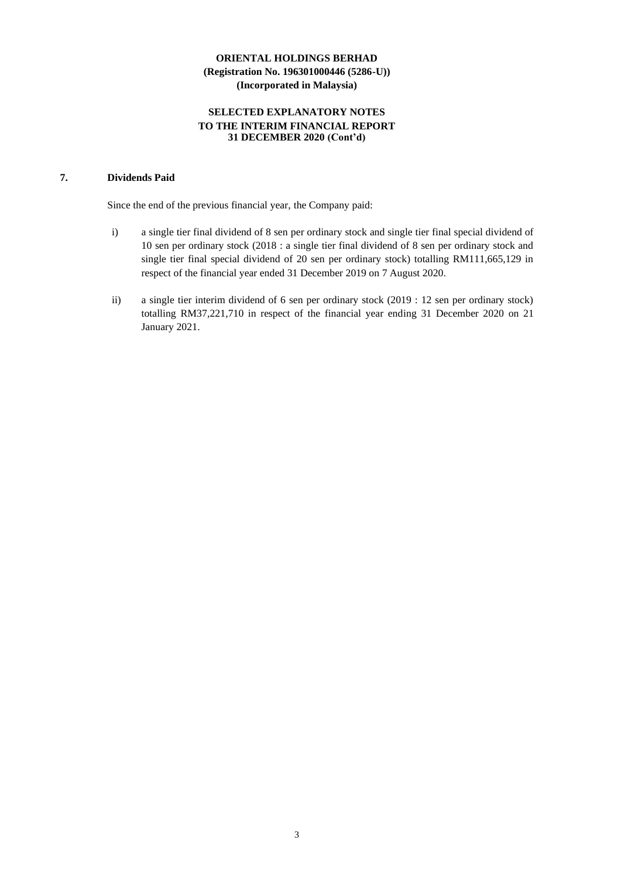# **SELECTED EXPLANATORY NOTES TO THE INTERIM FINANCIAL REPORT 31 DECEMBER 2020 (Cont'd)**

# **7. Dividends Paid**

Since the end of the previous financial year, the Company paid:

- i) a single tier final dividend of 8 sen per ordinary stock and single tier final special dividend of 10 sen per ordinary stock (2018 : a single tier final dividend of 8 sen per ordinary stock and single tier final special dividend of 20 sen per ordinary stock) totalling RM111,665,129 in respect of the financial year ended 31 December 2019 on 7 August 2020.
- ii) a single tier interim dividend of 6 sen per ordinary stock (2019 : 12 sen per ordinary stock) totalling RM37,221,710 in respect of the financial year ending 31 December 2020 on 21 January 2021.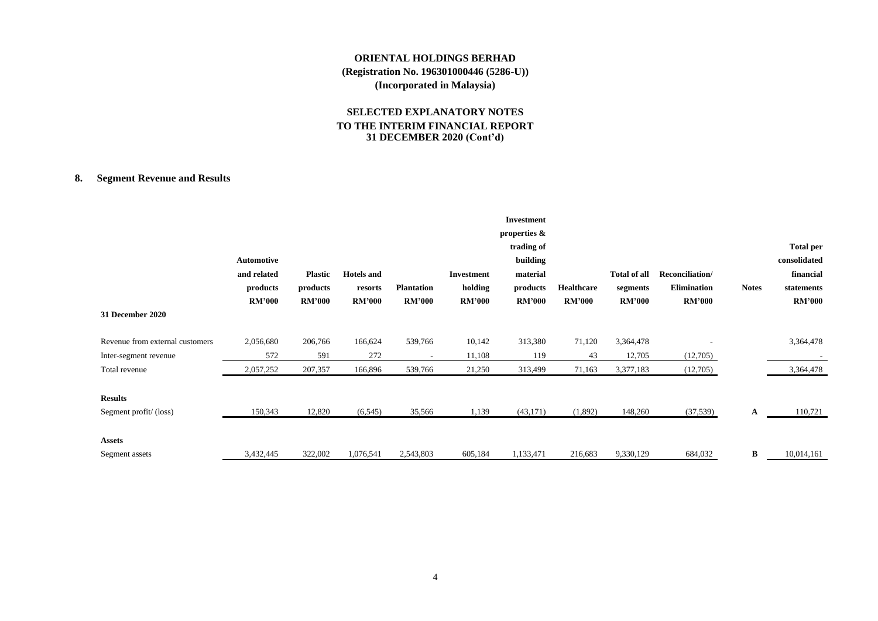# **SELECTED EXPLANATORY NOTES TO THE INTERIM FINANCIAL REPORT 31 DECEMBER 2020 (Cont'd)**

# **8. Segment Revenue and Results**

| 31 December 2020                | Automotive<br>and related<br>products<br><b>RM'000</b> | <b>Plastic</b><br>products<br><b>RM'000</b> | <b>Hotels</b> and<br>resorts<br><b>RM'000</b> | <b>Plantation</b><br><b>RM'000</b> | Investment<br>holding<br><b>RM'000</b> | <b>Investment</b><br>properties &<br>trading of<br>building<br>material<br>products<br><b>RM'000</b> | Healthcare<br><b>RM'000</b> | Total of all<br>segments<br><b>RM'000</b> | Reconciliation/<br><b>Elimination</b><br><b>RM'000</b> | <b>Notes</b> | <b>Total per</b><br>consolidated<br>financial<br>statements<br><b>RM'000</b> |
|---------------------------------|--------------------------------------------------------|---------------------------------------------|-----------------------------------------------|------------------------------------|----------------------------------------|------------------------------------------------------------------------------------------------------|-----------------------------|-------------------------------------------|--------------------------------------------------------|--------------|------------------------------------------------------------------------------|
| Revenue from external customers | 2,056,680                                              | 206,766                                     | 166,624                                       | 539,766                            | 10,142                                 | 313,380                                                                                              | 71,120                      | 3,364,478                                 |                                                        |              | 3,364,478                                                                    |
| Inter-segment revenue           | 572                                                    | 591                                         | 272                                           | $\overline{\phantom{a}}$           | 11,108                                 | 119                                                                                                  | 43                          | 12,705                                    | (12,705)                                               |              |                                                                              |
| Total revenue                   | 2,057,252                                              | 207,357                                     | 166,896                                       | 539,766                            | 21,250                                 | 313,499                                                                                              | 71,163                      | 3,377,183                                 | (12,705)                                               |              | 3,364,478                                                                    |
| <b>Results</b>                  |                                                        |                                             |                                               |                                    |                                        |                                                                                                      |                             |                                           |                                                        |              |                                                                              |
| Segment profit/(loss)           | 150,343                                                | 12,820                                      | (6, 545)                                      | 35,566                             | 1,139                                  | (43,171)                                                                                             | (1,892)                     | 148,260                                   | (37,539)                                               | $\mathbf{A}$ | 110,721                                                                      |
| <b>Assets</b>                   |                                                        |                                             |                                               |                                    |                                        |                                                                                                      |                             |                                           |                                                        |              |                                                                              |
| Segment assets                  | 3,432,445                                              | 322,002                                     | 1,076,541                                     | 2,543,803                          | 605,184                                | 1,133,471                                                                                            | 216,683                     | 9,330,129                                 | 684,032                                                | $\bf{B}$     | 10,014,161                                                                   |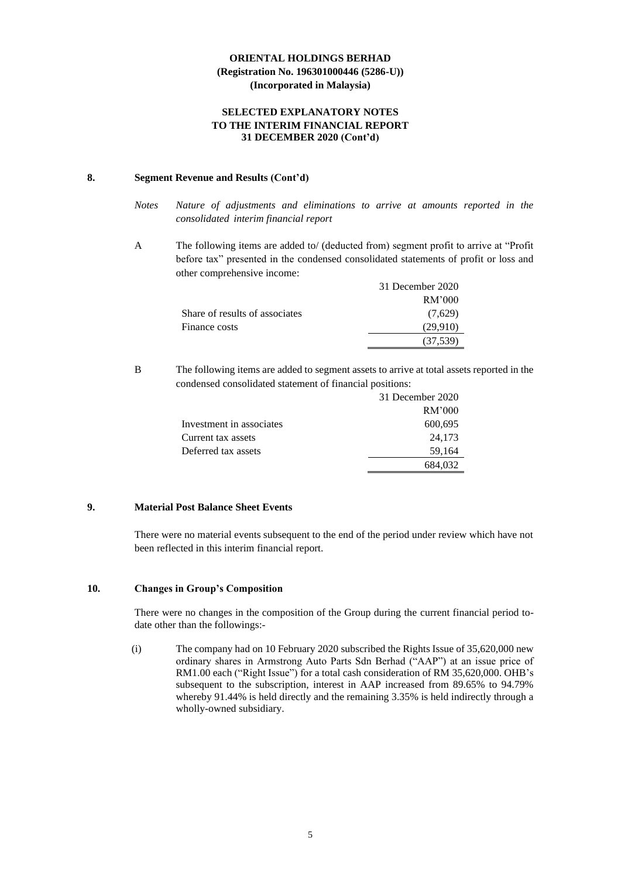### **SELECTED EXPLANATORY NOTES TO THE INTERIM FINANCIAL REPORT 31 DECEMBER 2020 (Cont'd)**

### **8. Segment Revenue and Results (Cont'd)**

- *Notes Nature of adjustments and eliminations to arrive at amounts reported in the consolidated interim financial report*
- A The following items are added to/ (deducted from) segment profit to arrive at "Profit before tax" presented in the condensed consolidated statements of profit or loss and other comprehensive income:

|                                | 31 December 2020 |
|--------------------------------|------------------|
|                                | RM'000           |
| Share of results of associates | (7,629)          |
| Finance costs                  | (29.910)         |
|                                | (37, 539)        |

B The following items are added to segment assets to arrive at total assets reported in the condensed consolidated statement of financial positions:

|                          | 31 December 2020 |
|--------------------------|------------------|
|                          | RM'000           |
| Investment in associates | 600,695          |
| Current tax assets       | 24,173           |
| Deferred tax assets      | 59,164           |
|                          | 684,032          |

# **9. Material Post Balance Sheet Events**

There were no material events subsequent to the end of the period under review which have not been reflected in this interim financial report.

# **10. Changes in Group's Composition**

There were no changes in the composition of the Group during the current financial period todate other than the followings:-

(i) The company had on 10 February 2020 subscribed the Rights Issue of 35,620,000 new ordinary shares in Armstrong Auto Parts Sdn Berhad ("AAP") at an issue price of RM1.00 each ("Right Issue") for a total cash consideration of RM 35,620,000. OHB's subsequent to the subscription, interest in AAP increased from 89.65% to 94.79% whereby 91.44% is held directly and the remaining 3.35% is held indirectly through a wholly-owned subsidiary.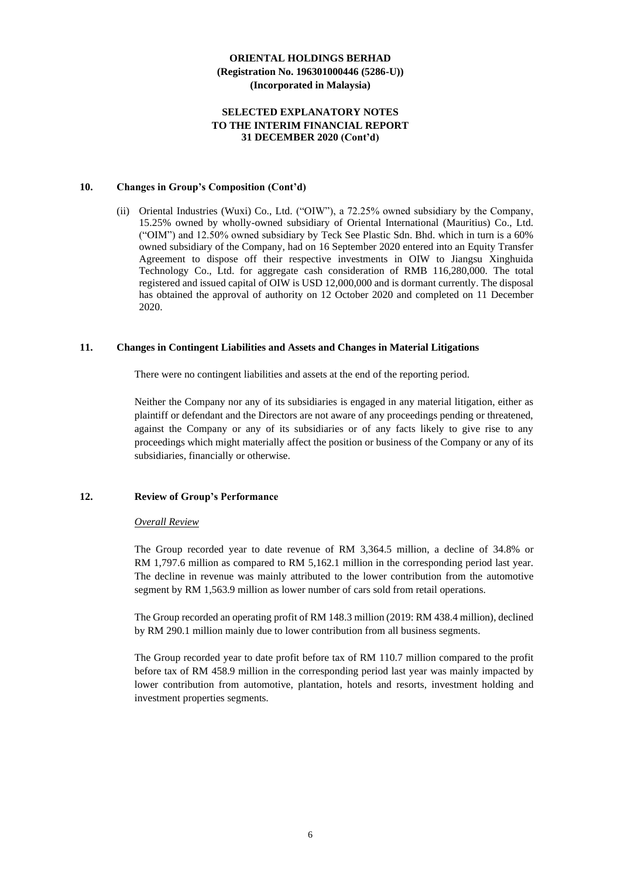### **SELECTED EXPLANATORY NOTES TO THE INTERIM FINANCIAL REPORT 31 DECEMBER 2020 (Cont'd)**

#### **10. Changes in Group's Composition (Cont'd)**

(ii) Oriental Industries (Wuxi) Co., Ltd. ("OIW"), a 72.25% owned subsidiary by the Company, 15.25% owned by wholly-owned subsidiary of Oriental International (Mauritius) Co., Ltd. ("OIM") and 12.50% owned subsidiary by Teck See Plastic Sdn. Bhd. which in turn is a 60% owned subsidiary of the Company, had on 16 September 2020 entered into an Equity Transfer Agreement to dispose off their respective investments in OIW to Jiangsu Xinghuida Technology Co., Ltd. for aggregate cash consideration of RMB 116,280,000. The total registered and issued capital of OIW is USD 12,000,000 and is dormant currently. The disposal has obtained the approval of authority on 12 October 2020 and completed on 11 December 2020.

### **11. Changes in Contingent Liabilities and Assets and Changes in Material Litigations**

There were no contingent liabilities and assets at the end of the reporting period.

Neither the Company nor any of its subsidiaries is engaged in any material litigation, either as plaintiff or defendant and the Directors are not aware of any proceedings pending or threatened, against the Company or any of its subsidiaries or of any facts likely to give rise to any proceedings which might materially affect the position or business of the Company or any of its subsidiaries, financially or otherwise.

### **12. Review of Group's Performance**

### *Overall Review*

The Group recorded year to date revenue of RM 3,364.5 million, a decline of 34.8% or RM 1,797.6 million as compared to RM 5,162.1 million in the corresponding period last year. The decline in revenue was mainly attributed to the lower contribution from the automotive segment by RM 1,563.9 million as lower number of cars sold from retail operations.

The Group recorded an operating profit of RM 148.3 million (2019: RM 438.4 million), declined by RM 290.1 million mainly due to lower contribution from all business segments.

The Group recorded year to date profit before tax of RM 110.7 million compared to the profit before tax of RM 458.9 million in the corresponding period last year was mainly impacted by lower contribution from automotive, plantation, hotels and resorts, investment holding and investment properties segments.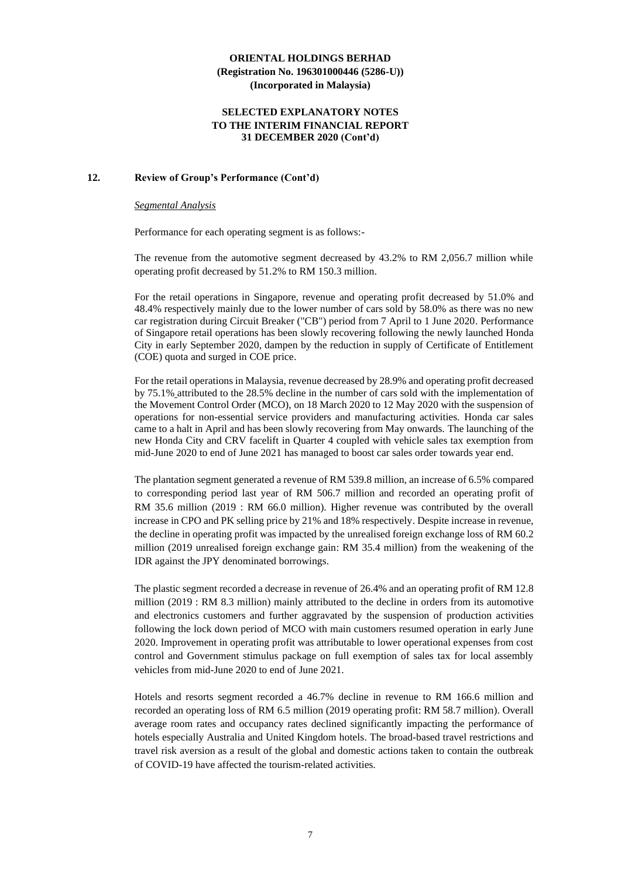### **SELECTED EXPLANATORY NOTES TO THE INTERIM FINANCIAL REPORT 31 DECEMBER 2020 (Cont'd)**

### **12. Review of Group's Performance (Cont'd)**

#### *Segmental Analysis*

Performance for each operating segment is as follows:-

The revenue from the automotive segment decreased by 43.2% to RM 2,056.7 million while operating profit decreased by 51.2% to RM 150.3 million.

For the retail operations in Singapore, revenue and operating profit decreased by 51.0% and 48.4% respectively mainly due to the lower number of cars sold by 58.0% as there was no new car registration during Circuit Breaker ("CB") period from 7 April to 1 June 2020. Performance of Singapore retail operations has been slowly recovering following the newly launched Honda City in early September 2020, dampen by the reduction in supply of Certificate of Entitlement (COE) quota and surged in COE price.

For the retail operations in Malaysia, revenue decreased by 28.9% and operating profit decreased by 75.1% attributed to the 28.5% decline in the number of cars sold with the implementation of the Movement Control Order (MCO), on 18 March 2020 to 12 May 2020 with the suspension of operations for non-essential service providers and manufacturing activities. Honda car sales came to a halt in April and has been slowly recovering from May onwards. The launching of the new Honda City and CRV facelift in Quarter 4 coupled with vehicle sales tax exemption from mid-June 2020 to end of June 2021 has managed to boost car sales order towards year end.

The plantation segment generated a revenue of RM 539.8 million, an increase of 6.5% compared to corresponding period last year of RM 506.7 million and recorded an operating profit of RM 35.6 million (2019 : RM 66.0 million). Higher revenue was contributed by the overall increase in CPO and PK selling price by 21% and 18% respectively. Despite increase in revenue, the decline in operating profit was impacted by the unrealised foreign exchange loss of RM 60.2 million (2019 unrealised foreign exchange gain: RM 35.4 million) from the weakening of the IDR against the JPY denominated borrowings.

The plastic segment recorded a decrease in revenue of 26.4% and an operating profit of RM 12.8 million (2019 : RM 8.3 million) mainly attributed to the decline in orders from its automotive and electronics customers and further aggravated by the suspension of production activities following the lock down period of MCO with main customers resumed operation in early June 2020. Improvement in operating profit was attributable to lower operational expenses from cost control and Government stimulus package on full exemption of sales tax for local assembly vehicles from mid-June 2020 to end of June 2021.

Hotels and resorts segment recorded a 46.7% decline in revenue to RM 166.6 million and recorded an operating loss of RM 6.5 million (2019 operating profit: RM 58.7 million). Overall average room rates and occupancy rates declined significantly impacting the performance of hotels especially Australia and United Kingdom hotels. The broad-based travel restrictions and travel risk aversion as a result of the global and domestic actions taken to contain the outbreak of COVID-19 have affected the tourism-related activities.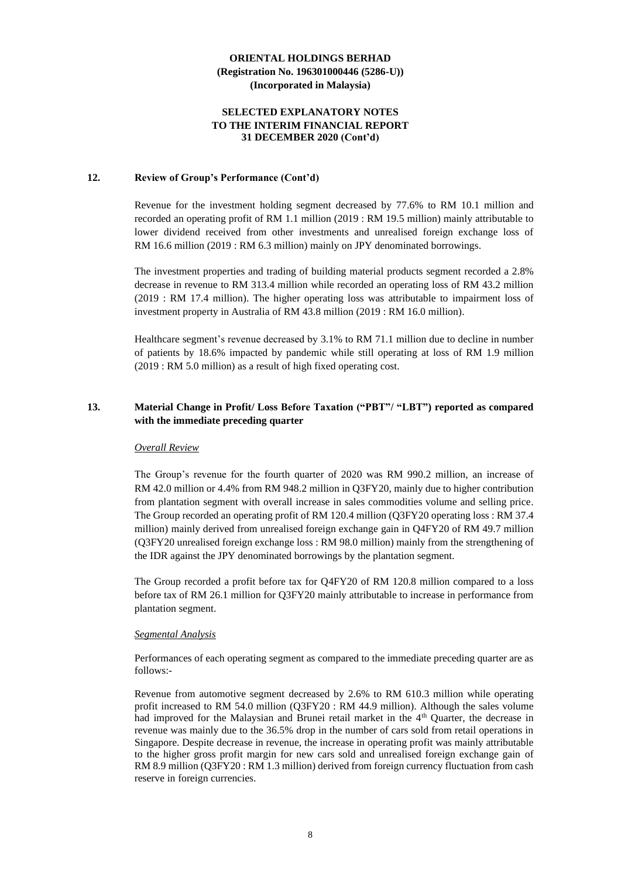### **SELECTED EXPLANATORY NOTES TO THE INTERIM FINANCIAL REPORT 31 DECEMBER 2020 (Cont'd)**

### **12. Review of Group's Performance (Cont'd)**

Revenue for the investment holding segment decreased by 77.6% to RM 10.1 million and recorded an operating profit of RM 1.1 million (2019 : RM 19.5 million) mainly attributable to lower dividend received from other investments and unrealised foreign exchange loss of RM 16.6 million (2019 : RM 6.3 million) mainly on JPY denominated borrowings.

The investment properties and trading of building material products segment recorded a 2.8% decrease in revenue to RM 313.4 million while recorded an operating loss of RM 43.2 million (2019 : RM 17.4 million). The higher operating loss was attributable to impairment loss of investment property in Australia of RM 43.8 million (2019 : RM 16.0 million).

Healthcare segment's revenue decreased by 3.1% to RM 71.1 million due to decline in number of patients by 18.6% impacted by pandemic while still operating at loss of RM 1.9 million (2019 : RM 5.0 million) as a result of high fixed operating cost.

# **13. Material Change in Profit/ Loss Before Taxation ("PBT"/ "LBT") reported as compared with the immediate preceding quarter**

### *Overall Review*

The Group's revenue for the fourth quarter of 2020 was RM 990.2 million, an increase of RM 42.0 million or 4.4% from RM 948.2 million in Q3FY20, mainly due to higher contribution from plantation segment with overall increase in sales commodities volume and selling price. The Group recorded an operating profit of RM 120.4 million (Q3FY20 operating loss : RM 37.4 million) mainly derived from unrealised foreign exchange gain in Q4FY20 of RM 49.7 million (Q3FY20 unrealised foreign exchange loss : RM 98.0 million) mainly from the strengthening of the IDR against the JPY denominated borrowings by the plantation segment.

The Group recorded a profit before tax for Q4FY20 of RM 120.8 million compared to a loss before tax of RM 26.1 million for Q3FY20 mainly attributable to increase in performance from plantation segment.

### *Segmental Analysis*

Performances of each operating segment as compared to the immediate preceding quarter are as follows:-

Revenue from automotive segment decreased by 2.6% to RM 610.3 million while operating profit increased to RM 54.0 million (Q3FY20 : RM 44.9 million). Although the sales volume had improved for the Malaysian and Brunei retail market in the 4<sup>th</sup> Quarter, the decrease in revenue was mainly due to the 36.5% drop in the number of cars sold from retail operations in Singapore. Despite decrease in revenue, the increase in operating profit was mainly attributable to the higher gross profit margin for new cars sold and unrealised foreign exchange gain of RM 8.9 million (Q3FY20 : RM 1.3 million) derived from foreign currency fluctuation from cash reserve in foreign currencies.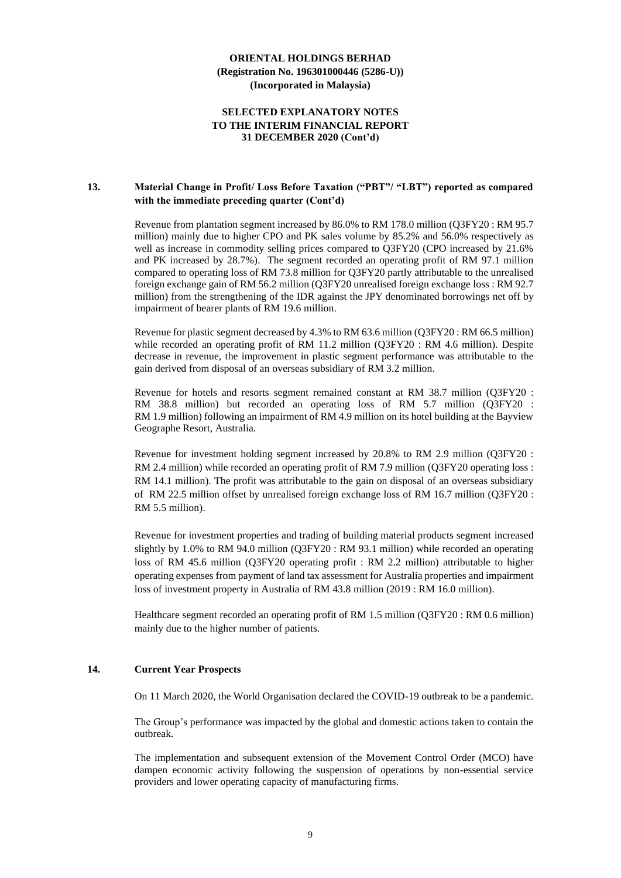### **SELECTED EXPLANATORY NOTES TO THE INTERIM FINANCIAL REPORT 31 DECEMBER 2020 (Cont'd)**

### **13. Material Change in Profit/ Loss Before Taxation ("PBT"/ "LBT") reported as compared with the immediate preceding quarter (Cont'd)**

Revenue from plantation segment increased by 86.0% to RM 178.0 million (Q3FY20 : RM 95.7 million) mainly due to higher CPO and PK sales volume by 85.2% and 56.0% respectively as well as increase in commodity selling prices compared to Q3FY20 (CPO increased by 21.6% and PK increased by 28.7%). The segment recorded an operating profit of RM 97.1 million compared to operating loss of RM 73.8 million for Q3FY20 partly attributable to the unrealised foreign exchange gain of RM 56.2 million (Q3FY20 unrealised foreign exchange loss : RM 92.7 million) from the strengthening of the IDR against the JPY denominated borrowings net off by impairment of bearer plants of RM 19.6 million.

Revenue for plastic segment decreased by 4.3% to RM 63.6 million (Q3FY20 : RM 66.5 million) while recorded an operating profit of RM 11.2 million (Q3FY20 : RM 4.6 million). Despite decrease in revenue, the improvement in plastic segment performance was attributable to the gain derived from disposal of an overseas subsidiary of RM 3.2 million.

Revenue for hotels and resorts segment remained constant at RM 38.7 million (Q3FY20 : RM 38.8 million) but recorded an operating loss of RM 5.7 million (Q3FY20 : RM 1.9 million) following an impairment of RM 4.9 million on its hotel building at the Bayview Geographe Resort, Australia.

Revenue for investment holding segment increased by 20.8% to RM 2.9 million (Q3FY20 : RM 2.4 million) while recorded an operating profit of RM 7.9 million (Q3FY20 operating loss : RM 14.1 million). The profit was attributable to the gain on disposal of an overseas subsidiary of RM 22.5 million offset by unrealised foreign exchange loss of RM 16.7 million (Q3FY20 : RM 5.5 million).

Revenue for investment properties and trading of building material products segment increased slightly by 1.0% to RM 94.0 million (Q3FY20 : RM 93.1 million) while recorded an operating loss of RM 45.6 million (Q3FY20 operating profit : RM 2.2 million) attributable to higher operating expenses from payment of land tax assessment for Australia properties and impairment loss of investment property in Australia of RM 43.8 million (2019 : RM 16.0 million).

Healthcare segment recorded an operating profit of RM 1.5 million (Q3FY20 : RM 0.6 million) mainly due to the higher number of patients.

# **14. Current Year Prospects**

On 11 March 2020, the World Organisation declared the COVID-19 outbreak to be a pandemic.

The Group's performance was impacted by the global and domestic actions taken to contain the outbreak.

The implementation and subsequent extension of the Movement Control Order (MCO) have dampen economic activity following the suspension of operations by non-essential service providers and lower operating capacity of manufacturing firms.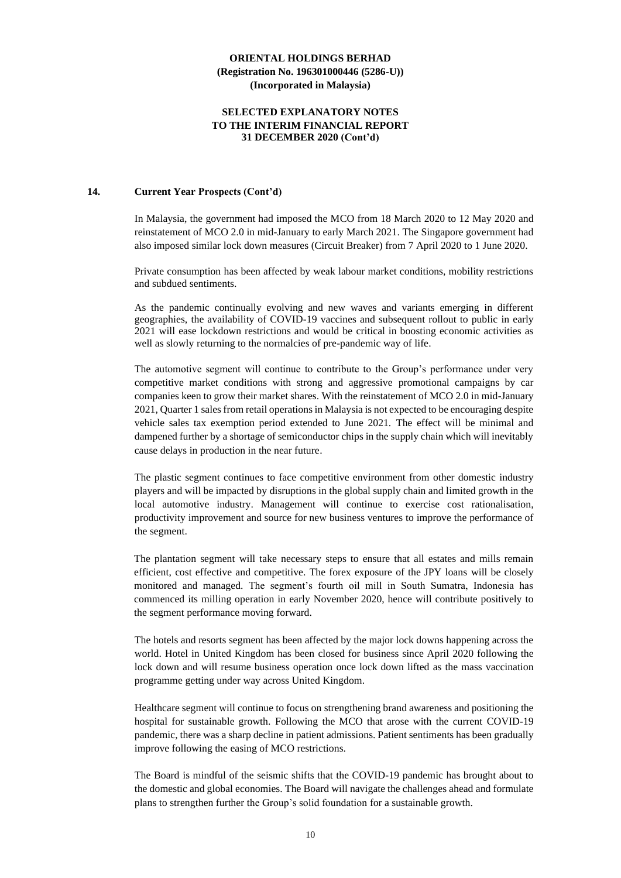### **SELECTED EXPLANATORY NOTES TO THE INTERIM FINANCIAL REPORT 31 DECEMBER 2020 (Cont'd)**

# **14. Current Year Prospects (Cont'd)**

In Malaysia, the government had imposed the MCO from 18 March 2020 to 12 May 2020 and reinstatement of MCO 2.0 in mid-January to early March 2021. The Singapore government had also imposed similar lock down measures (Circuit Breaker) from 7 April 2020 to 1 June 2020.

Private consumption has been affected by weak labour market conditions, mobility restrictions and subdued sentiments.

As the pandemic continually evolving and new waves and variants emerging in different geographies, the availability of COVID-19 vaccines and subsequent rollout to public in early 2021 will ease lockdown restrictions and would be critical in boosting economic activities as well as slowly returning to the normalcies of pre-pandemic way of life.

The automotive segment will continue to contribute to the Group's performance under very competitive market conditions with strong and aggressive promotional campaigns by car companies keen to grow their market shares. With the reinstatement of MCO 2.0 in mid-January 2021, Quarter 1 sales from retail operations in Malaysia is not expected to be encouraging despite vehicle sales tax exemption period extended to June 2021. The effect will be minimal and dampened further by a shortage of semiconductor chips in the supply chain which will inevitably cause delays in production in the near future.

The plastic segment continues to face competitive environment from other domestic industry players and will be impacted by disruptions in the global supply chain and limited growth in the local automotive industry. Management will continue to exercise cost rationalisation, productivity improvement and source for new business ventures to improve the performance of the segment.

The plantation segment will take necessary steps to ensure that all estates and mills remain efficient, cost effective and competitive. The forex exposure of the JPY loans will be closely monitored and managed. The segment's fourth oil mill in South Sumatra, Indonesia has commenced its milling operation in early November 2020, hence will contribute positively to the segment performance moving forward.

The hotels and resorts segment has been affected by the major lock downs happening across the world. Hotel in United Kingdom has been closed for business since April 2020 following the lock down and will resume business operation once lock down lifted as the mass vaccination programme getting under way across United Kingdom.

Healthcare segment will continue to focus on strengthening brand awareness and positioning the hospital for sustainable growth. Following the MCO that arose with the current COVID-19 pandemic, there was a sharp decline in patient admissions. Patient sentiments has been gradually improve following the easing of MCO restrictions.

The Board is mindful of the seismic shifts that the COVID-19 pandemic has brought about to the domestic and global economies. The Board will navigate the challenges ahead and formulate plans to strengthen further the Group's solid foundation for a sustainable growth.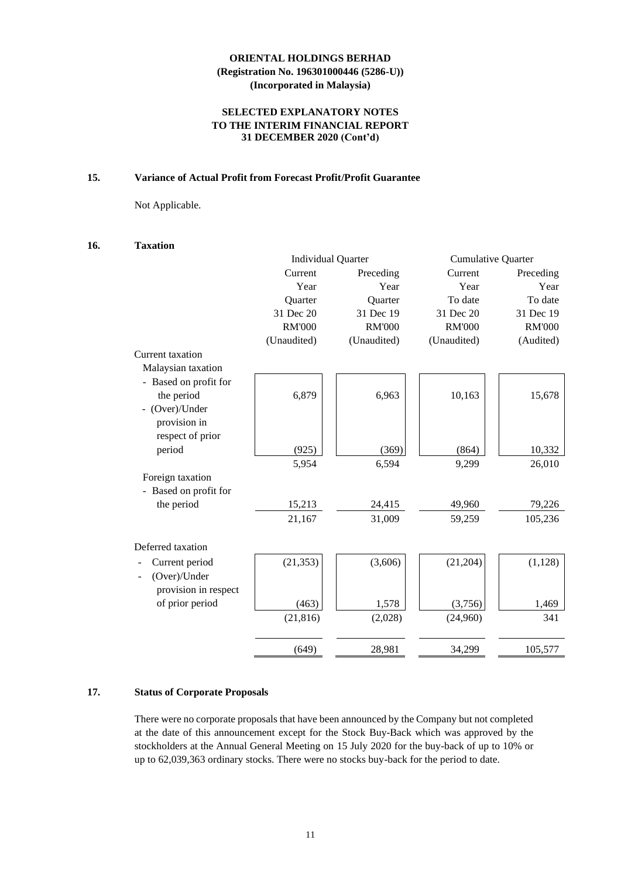# **SELECTED EXPLANATORY NOTES TO THE INTERIM FINANCIAL REPORT 31 DECEMBER 2020 (Cont'd)**

# **15. Variance of Actual Profit from Forecast Profit/Profit Guarantee**

Not Applicable.

### **16. Taxation**

|                       |               | <b>Individual Quarter</b> | <b>Cumulative Quarter</b> |               |
|-----------------------|---------------|---------------------------|---------------------------|---------------|
|                       | Current       | Preceding                 | Current                   | Preceding     |
|                       | Year          | Year                      | Year                      | Year          |
|                       | Quarter       | Quarter                   | To date                   | To date       |
|                       | 31 Dec 20     | 31 Dec 19                 | 31 Dec 20                 | 31 Dec 19     |
|                       | <b>RM'000</b> | <b>RM'000</b>             | <b>RM'000</b>             | <b>RM'000</b> |
|                       | (Unaudited)   | (Unaudited)               | (Unaudited)               | (Audited)     |
| Current taxation      |               |                           |                           |               |
| Malaysian taxation    |               |                           |                           |               |
| - Based on profit for |               |                           |                           |               |
| the period            | 6,879         | 6,963                     | 10,163                    | 15,678        |
| - (Over)/Under        |               |                           |                           |               |
| provision in          |               |                           |                           |               |
| respect of prior      |               |                           |                           |               |
| period                | (925)         | (369)                     | (864)                     | 10,332        |
|                       | 5,954         | 6,594                     | 9,299                     | 26,010        |
| Foreign taxation      |               |                           |                           |               |
| - Based on profit for |               |                           |                           |               |
| the period            | 15,213        | 24,415                    | 49,960                    | 79,226        |
|                       | 21,167        | 31,009                    | 59,259                    | 105,236       |
|                       |               |                           |                           |               |
| Deferred taxation     |               |                           |                           |               |
| Current period        | (21, 353)     | (3,606)                   | (21, 204)                 | (1, 128)      |
| (Over)/Under          |               |                           |                           |               |
| provision in respect  |               |                           |                           |               |
| of prior period       | (463)         | 1,578                     | (3,756)                   | 1,469         |
|                       | (21, 816)     | (2,028)                   | (24,960)                  | 341           |
|                       |               |                           |                           |               |
|                       | (649)         | 28,981                    | 34,299                    | 105,577       |

# **17. Status of Corporate Proposals**

There were no corporate proposals that have been announced by the Company but not completed at the date of this announcement except for the Stock Buy-Back which was approved by the stockholders at the Annual General Meeting on 15 July 2020 for the buy-back of up to 10% or up to 62,039,363 ordinary stocks. There were no stocks buy-back for the period to date.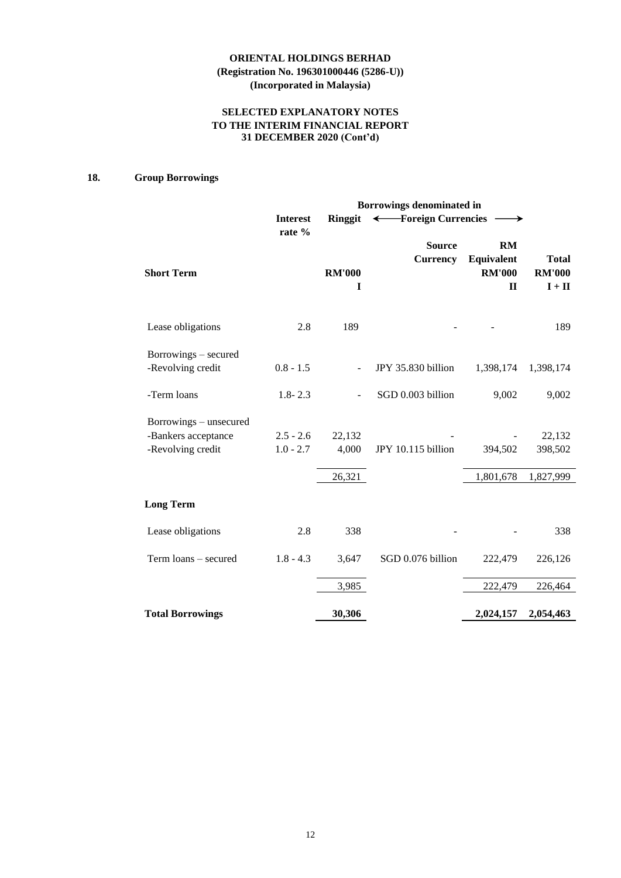# **SELECTED EXPLANATORY NOTES TO THE INTERIM FINANCIAL REPORT 31 DECEMBER 2020 (Cont'd)**

# **18. Group Borrowings**

|                         | Borrowings denominated in |                    |                                  |                                                   |                                           |  |  |  |  |
|-------------------------|---------------------------|--------------------|----------------------------------|---------------------------------------------------|-------------------------------------------|--|--|--|--|
|                         | <b>Interest</b><br>rate % | Ringgit            | ← Foreign Currencies             | $\longrightarrow$                                 |                                           |  |  |  |  |
| <b>Short Term</b>       |                           | <b>RM'000</b><br>I | <b>Source</b><br><b>Currency</b> | RM<br>Equivalent<br><b>RM'000</b><br>$\mathbf{I}$ | <b>Total</b><br><b>RM'000</b><br>$I + II$ |  |  |  |  |
| Lease obligations       | 2.8                       | 189                |                                  |                                                   | 189                                       |  |  |  |  |
| Borrowings - secured    |                           |                    |                                  |                                                   |                                           |  |  |  |  |
| -Revolving credit       | $0.8 - 1.5$               |                    | JPY 35.830 billion               | 1,398,174                                         | 1,398,174                                 |  |  |  |  |
| -Term loans             | $1.8 - 2.3$               |                    | SGD 0.003 billion                | 9,002                                             | 9,002                                     |  |  |  |  |
| Borrowings – unsecured  |                           |                    |                                  |                                                   |                                           |  |  |  |  |
| -Bankers acceptance     | $2.5 - 2.6$               | 22,132             |                                  |                                                   | 22,132                                    |  |  |  |  |
| -Revolving credit       | $1.0 - 2.7$               | 4,000              | JPY 10.115 billion               | 394,502                                           | 398,502                                   |  |  |  |  |
|                         |                           | 26,321             |                                  | 1,801,678                                         | 1,827,999                                 |  |  |  |  |
| <b>Long Term</b>        |                           |                    |                                  |                                                   |                                           |  |  |  |  |
| Lease obligations       | 2.8                       | 338                |                                  |                                                   | 338                                       |  |  |  |  |
| Term loans - secured    | $1.8 - 4.3$               | 3,647              | SGD 0.076 billion                | 222,479                                           | 226,126                                   |  |  |  |  |
|                         |                           | 3,985              |                                  | 222,479                                           | 226,464                                   |  |  |  |  |
| <b>Total Borrowings</b> |                           | 30,306             |                                  | 2,024,157                                         | 2,054,463                                 |  |  |  |  |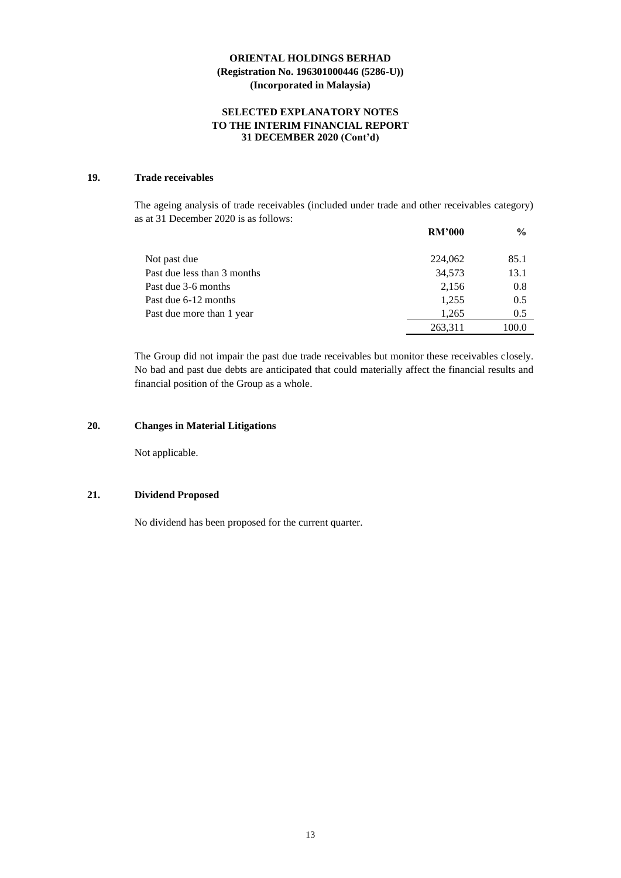# **SELECTED EXPLANATORY NOTES TO THE INTERIM FINANCIAL REPORT 31 DECEMBER 2020 (Cont'd)**

# **19. Trade receivables**

The ageing analysis of trade receivables (included under trade and other receivables category) as at 31 December 2020 is as follows:

|                             | <b>RM'000</b> | $\frac{6}{9}$ |
|-----------------------------|---------------|---------------|
| Not past due                | 224,062       | 85.1          |
| Past due less than 3 months | 34,573        | 13.1          |
| Past due 3-6 months         | 2,156         | 0.8           |
| Past due 6-12 months        | 1,255         | 0.5           |
| Past due more than 1 year   | 1.265         | 0.5           |
|                             | 263,311       | 100.0         |

The Group did not impair the past due trade receivables but monitor these receivables closely. No bad and past due debts are anticipated that could materially affect the financial results and financial position of the Group as a whole.

# **20. Changes in Material Litigations**

Not applicable.

### **21. Dividend Proposed**

No dividend has been proposed for the current quarter.